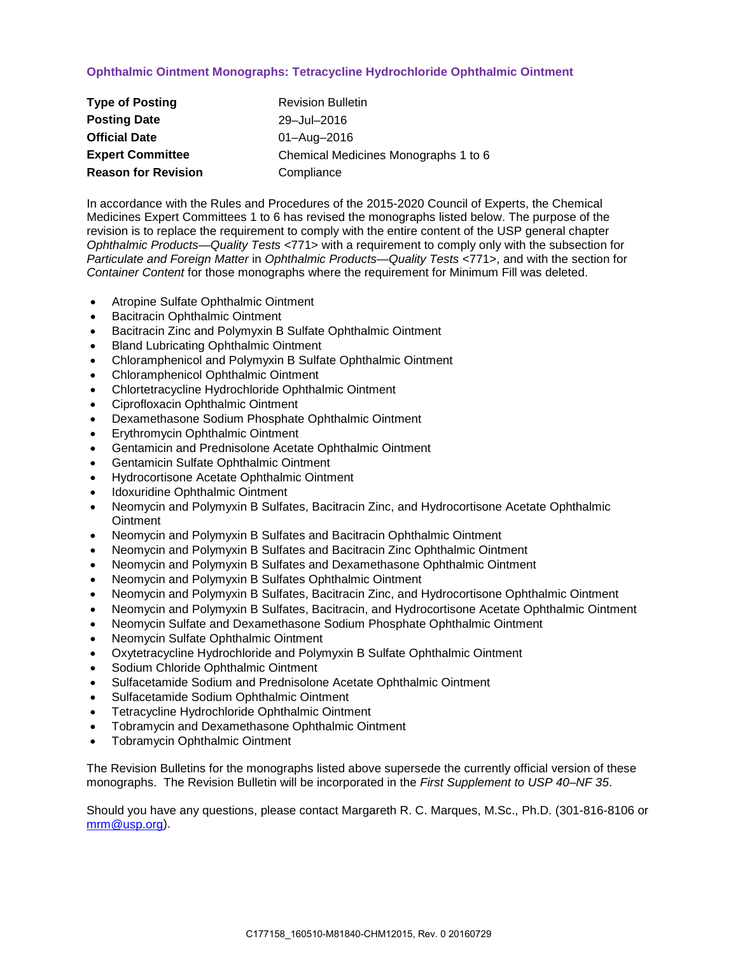# **Ophthalmic Ointment Monographs: Tetracycline Hydrochloride Ophthalmic Ointment**

| <b>Type of Posting</b>     | <b>Revision Bulletin</b>             |
|----------------------------|--------------------------------------|
| <b>Posting Date</b>        | 29-Jul-2016                          |
| <b>Official Date</b>       | 01-Aug-2016                          |
| <b>Expert Committee</b>    | Chemical Medicines Monographs 1 to 6 |
| <b>Reason for Revision</b> | Compliance                           |

In accordance with the Rules and Procedures of the 2015-2020 Council of Experts, the Chemical Medicines Expert Committees 1 to 6 has revised the monographs listed below. The purpose of the revision is to replace the requirement to comply with the entire content of the USP general chapter *Ophthalmic Products—Quality Tests* <771> with a requirement to comply only with the subsection for *Particulate and Foreign Matter* in *Ophthalmic Products—Quality Tests* <771>, and with the section for *Container Content* for those monographs where the requirement for Minimum Fill was deleted.

- Atropine Sulfate Ophthalmic Ointment
- Bacitracin Ophthalmic Ointment
- Bacitracin Zinc and Polymyxin B Sulfate Ophthalmic Ointment
- Bland Lubricating Ophthalmic Ointment
- Chloramphenicol and Polymyxin B Sulfate Ophthalmic Ointment
- Chloramphenicol Ophthalmic Ointment
- Chlortetracycline Hydrochloride Ophthalmic Ointment
- Ciprofloxacin Ophthalmic Ointment
- Dexamethasone Sodium Phosphate Ophthalmic Ointment
- Erythromycin Ophthalmic Ointment
- Gentamicin and Prednisolone Acetate Ophthalmic Ointment
- Gentamicin Sulfate Ophthalmic Ointment
- Hydrocortisone Acetate Ophthalmic Ointment
- Idoxuridine Ophthalmic Ointment
- Neomycin and Polymyxin B Sulfates, Bacitracin Zinc, and Hydrocortisone Acetate Ophthalmic **Ointment**
- Neomycin and Polymyxin B Sulfates and Bacitracin Ophthalmic Ointment
- Neomycin and Polymyxin B Sulfates and Bacitracin Zinc Ophthalmic Ointment
- Neomycin and Polymyxin B Sulfates and Dexamethasone Ophthalmic Ointment
- Neomycin and Polymyxin B Sulfates Ophthalmic Ointment
- Neomycin and Polymyxin B Sulfates, Bacitracin Zinc, and Hydrocortisone Ophthalmic Ointment
- Neomycin and Polymyxin B Sulfates, Bacitracin, and Hydrocortisone Acetate Ophthalmic Ointment
- Neomycin Sulfate and Dexamethasone Sodium Phosphate Ophthalmic Ointment
- Neomycin Sulfate Ophthalmic Ointment
- Oxytetracycline Hydrochloride and Polymyxin B Sulfate Ophthalmic Ointment
- Sodium Chloride Ophthalmic Ointment
- Sulfacetamide Sodium and Prednisolone Acetate Ophthalmic Ointment
- Sulfacetamide Sodium Ophthalmic Ointment
- Tetracycline Hydrochloride Ophthalmic Ointment
- Tobramycin and Dexamethasone Ophthalmic Ointment
- Tobramycin Ophthalmic Ointment

The Revision Bulletins for the monographs listed above supersede the currently official version of these monographs. The Revision Bulletin will be incorporated in the *First Supplement to USP 40–NF 35*.

Should you have any questions, please contact Margareth R. C. Marques, M.Sc., Ph.D. (301-816-8106 or [mrm@usp.org\)](mailto:mrm@usp.org).